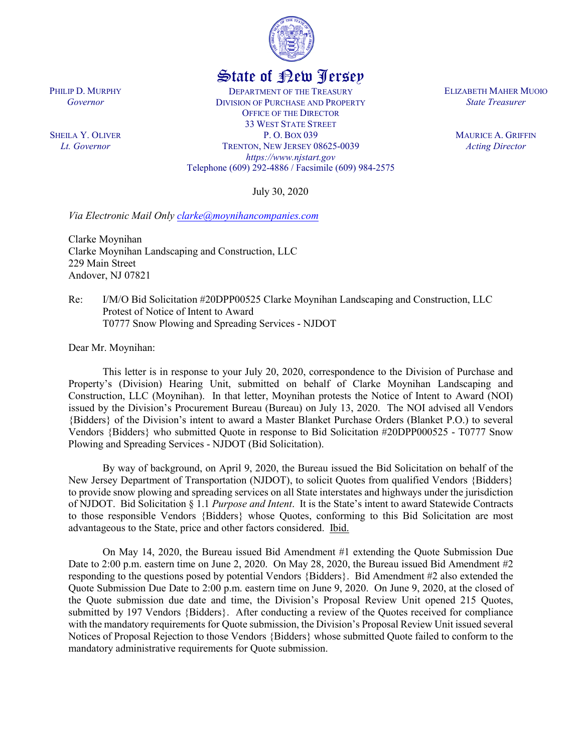

## State of New Jersey

DEPARTMENT OF THE TREASURY DIVISION OF PURCHASE AND PROPERTY OFFICE OF THE DIRECTOR 33 WEST STATE STREET P. O. BOX 039 TRENTON, NEW JERSEY 08625-0039 *https://www.njstart.gov* Telephone (609) 292-4886 / Facsimile (609) 984-2575

July 30, 2020

*Via Electronic Mail Only [clarke@moynihancompanies.com](mailto:clarke@moynihancompanies.com)*

Clarke Moynihan Clarke Moynihan Landscaping and Construction, LLC 229 Main Street Andover, NJ 07821

Re: I/M/O Bid Solicitation #20DPP00525 Clarke Moynihan Landscaping and Construction, LLC Protest of Notice of Intent to Award T0777 Snow Plowing and Spreading Services - NJDOT

Dear Mr. Moynihan:

This letter is in response to your July 20, 2020, correspondence to the Division of Purchase and Property's (Division) Hearing Unit, submitted on behalf of Clarke Moynihan Landscaping and Construction, LLC (Moynihan). In that letter, Moynihan protests the Notice of Intent to Award (NOI) issued by the Division's Procurement Bureau (Bureau) on July 13, 2020. The NOI advised all Vendors {Bidders} of the Division's intent to award a Master Blanket Purchase Orders (Blanket P.O.) to several Vendors {Bidders} who submitted Quote in response to Bid Solicitation #20DPP000525 - T0777 Snow Plowing and Spreading Services - NJDOT (Bid Solicitation).

By way of background, on April 9, 2020, the Bureau issued the Bid Solicitation on behalf of the New Jersey Department of Transportation (NJDOT), to solicit Quotes from qualified Vendors {Bidders} to provide snow plowing and spreading services on all State interstates and highways under the jurisdiction of NJDOT. Bid Solicitation § 1.1 *Purpose and Intent*. It is the State's intent to award Statewide Contracts to those responsible Vendors {Bidders} whose Quotes, conforming to this Bid Solicitation are most advantageous to the State, price and other factors considered. Ibid.

On May 14, 2020, the Bureau issued Bid Amendment #1 extending the Quote Submission Due Date to 2:00 p.m. eastern time on June 2, 2020. On May 28, 2020, the Bureau issued Bid Amendment #2 responding to the questions posed by potential Vendors {Bidders}. Bid Amendment #2 also extended the Quote Submission Due Date to 2:00 p.m. eastern time on June 9, 2020. On June 9, 2020, at the closed of the Quote submission due date and time, the Division's Proposal Review Unit opened 215 Quotes, submitted by 197 Vendors {Bidders}. After conducting a review of the Quotes received for compliance with the mandatory requirements for Quote submission, the Division's Proposal Review Unit issued several Notices of Proposal Rejection to those Vendors {Bidders} whose submitted Quote failed to conform to the mandatory administrative requirements for Quote submission.

ELIZABETH MAHER MUOIO *State Treasurer*

> MAURICE A. GRIFFIN *Acting Director*

PHILIP D. MURPHY *Governor*

SHEILA Y. OLIVER *Lt. Governor*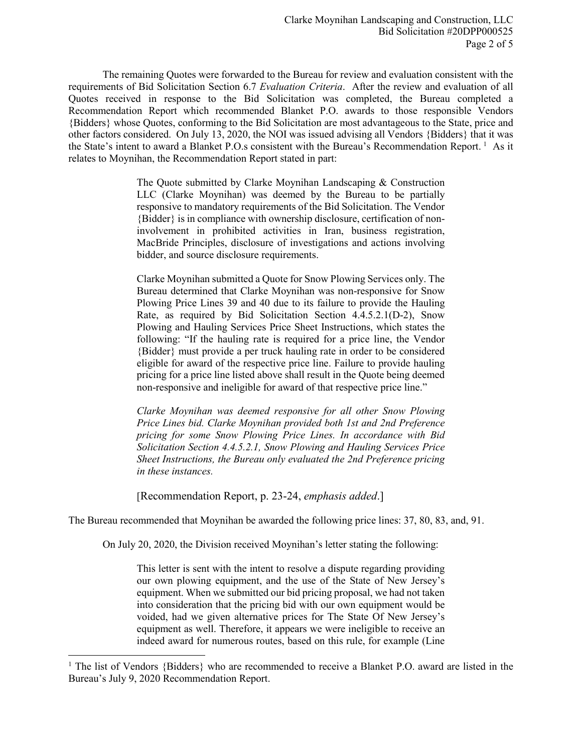The remaining Quotes were forwarded to the Bureau for review and evaluation consistent with the requirements of Bid Solicitation Section 6.7 *Evaluation Criteria*. After the review and evaluation of all Quotes received in response to the Bid Solicitation was completed, the Bureau completed a Recommendation Report which recommended Blanket P.O. awards to those responsible Vendors {Bidders} whose Quotes, conforming to the Bid Solicitation are most advantageous to the State, price and other factors considered. On July 13, 2020, the NOI was issued advising all Vendors {Bidders} that it was the State's intent to award a Blanket P.O.s consistent with the Bureau's Recommendation Report.<sup>[1](#page-1-0)</sup> As it relates to Moynihan, the Recommendation Report stated in part:

> The Quote submitted by Clarke Moynihan Landscaping & Construction LLC (Clarke Moynihan) was deemed by the Bureau to be partially responsive to mandatory requirements of the Bid Solicitation. The Vendor {Bidder} is in compliance with ownership disclosure, certification of noninvolvement in prohibited activities in Iran, business registration, MacBride Principles, disclosure of investigations and actions involving bidder, and source disclosure requirements.

> Clarke Moynihan submitted a Quote for Snow Plowing Services only. The Bureau determined that Clarke Moynihan was non-responsive for Snow Plowing Price Lines 39 and 40 due to its failure to provide the Hauling Rate, as required by Bid Solicitation Section 4.4.5.2.1(D-2), Snow Plowing and Hauling Services Price Sheet Instructions, which states the following: "If the hauling rate is required for a price line, the Vendor {Bidder} must provide a per truck hauling rate in order to be considered eligible for award of the respective price line. Failure to provide hauling pricing for a price line listed above shall result in the Quote being deemed non-responsive and ineligible for award of that respective price line."

> *Clarke Moynihan was deemed responsive for all other Snow Plowing Price Lines bid. Clarke Moynihan provided both 1st and 2nd Preference pricing for some Snow Plowing Price Lines. In accordance with Bid Solicitation Section 4.4.5.2.1, Snow Plowing and Hauling Services Price Sheet Instructions, the Bureau only evaluated the 2nd Preference pricing in these instances.*

[Recommendation Report, p. 23-24, *emphasis added*.]

l

The Bureau recommended that Moynihan be awarded the following price lines: 37, 80, 83, and, 91.

On July 20, 2020, the Division received Moynihan's letter stating the following:

This letter is sent with the intent to resolve a dispute regarding providing our own plowing equipment, and the use of the State of New Jersey's equipment. When we submitted our bid pricing proposal, we had not taken into consideration that the pricing bid with our own equipment would be voided, had we given alternative prices for The State Of New Jersey's equipment as well. Therefore, it appears we were ineligible to receive an indeed award for numerous routes, based on this rule, for example (Line

<span id="page-1-0"></span><sup>&</sup>lt;sup>1</sup> The list of Vendors {Bidders} who are recommended to receive a Blanket P.O. award are listed in the Bureau's July 9, 2020 Recommendation Report.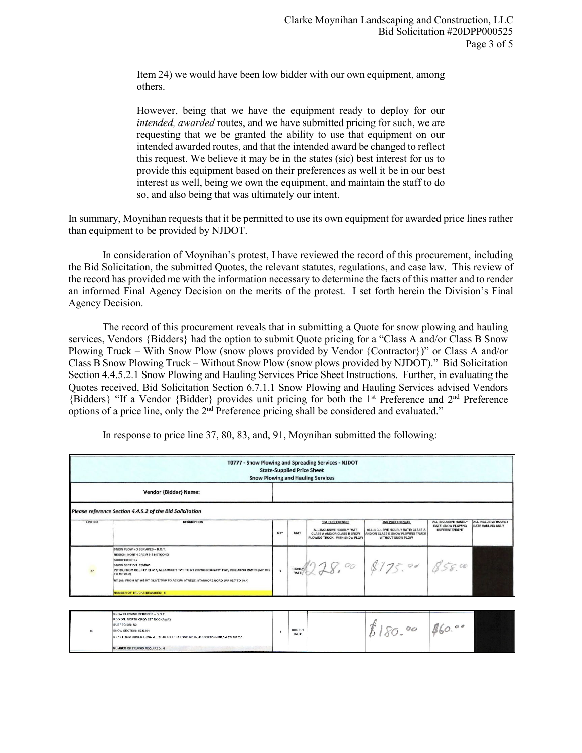Item 24) we would have been low bidder with our own equipment, among others.

However, being that we have the equipment ready to deploy for our *intended, awarded* routes, and we have submitted pricing for such, we are requesting that we be granted the ability to use that equipment on our intended awarded routes, and that the intended award be changed to reflect this request. We believe it may be in the states (sic) best interest for us to provide this equipment based on their preferences as well it be in our best interest as well, being we own the equipment, and maintain the staff to do so, and also being that was ultimately our intent.

In summary, Moynihan requests that it be permitted to use its own equipment for awarded price lines rather than equipment to be provided by NJDOT.

In consideration of Moynihan's protest, I have reviewed the record of this procurement, including the Bid Solicitation, the submitted Quotes, the relevant statutes, regulations, and case law. This review of the record has provided me with the information necessary to determine the facts of this matter and to render an informed Final Agency Decision on the merits of the protest. I set forth herein the Division's Final Agency Decision.

The record of this procurement reveals that in submitting a Quote for snow plowing and hauling services, Vendors {Bidders} had the option to submit Quote pricing for a "Class A and/or Class B Snow Plowing Truck – With Snow Plow (snow plows provided by Vendor {Contractor})" or Class A and/or Class B Snow Plowing Truck – Without Snow Plow (snow plows provided by NJDOT)." Bid Solicitation Section 4.4.5.2.1 Snow Plowing and Hauling Services Price Sheet Instructions. Further, in evaluating the Quotes received, Bid Solicitation Section 6.7.1.1 Snow Plowing and Hauling Services advised Vendors {Bidders} "If a Vendor {Bidder} provides unit pricing for both the 1st Preference and 2nd Preference options of a price line, only the 2nd Preference pricing shall be considered and evaluated."

| T0777 - Snow Plowing and Spreading Services - NJDOT<br><b>State-Supplied Price Sheet</b><br><b>Snow Plowing and Hauling Services</b> |                                                                                                                                                                                                                                                                                                                                                 |                |                              |                                                                                                                              |                                                                                                                 |                                                                    |                                                  |  |
|--------------------------------------------------------------------------------------------------------------------------------------|-------------------------------------------------------------------------------------------------------------------------------------------------------------------------------------------------------------------------------------------------------------------------------------------------------------------------------------------------|----------------|------------------------------|------------------------------------------------------------------------------------------------------------------------------|-----------------------------------------------------------------------------------------------------------------|--------------------------------------------------------------------|--------------------------------------------------|--|
|                                                                                                                                      | Vendor {Bidder} Name:                                                                                                                                                                                                                                                                                                                           |                |                              |                                                                                                                              |                                                                                                                 |                                                                    |                                                  |  |
|                                                                                                                                      | Please reference Section 4.4.5.2 of the Bid Solicitation                                                                                                                                                                                                                                                                                        |                |                              |                                                                                                                              |                                                                                                                 |                                                                    |                                                  |  |
| LINE NO                                                                                                                              | <b>DESCRIPTION</b>                                                                                                                                                                                                                                                                                                                              | QTY            | UNIT                         | <b>1ST PREFERENCE:</b><br>ALL-INCLUSIVE HOURLY RATE:<br><b>CLASS A AND/OR CLASS B SNOW</b><br>PLOWING TRUCK - WITH SNOW PLOW | 2ND PREFERENCE:<br>ALL-INCLUSIVE HOURLY RATE: CLASS A<br>ANDIOR CLASS B SNOW PLOWING TRUCK<br>WITHOUT SNOW PLOW | ALL-INCLUSIVE HOURLY<br><b>RATE SNOW PLOWING</b><br>SUPERINTENDENT | ALL-INCLUSIVE HOURLY<br><b>RATE HAULING ONLY</b> |  |
| 37                                                                                                                                   | SNOW PLOWING SERVICES - D.O.T.<br>REGION: NORTH CREW 218 NETCONG<br>SUBREGION: N2<br>SNOW SECTION: 5218263<br>INT 80, FROM COUNTY RT 517, ALLAMUCHY TWP TO RT 205/183 ROXBURY TWP, INCLUDING RAMPS (MP 19.9<br>TO MP 27.2)<br>RT 200, FROM RT 183 MT OLIVE TWP TO ACORN STREET, STANHOPE BORO (MP 95.7 TO 96.4)<br>NUMBER OF TRUCKS REQUIRED: 8 | $\overline{1}$ | <b>HOURLY</b><br><b>RATE</b> |                                                                                                                              | $228.00$ \$175.00 858.00                                                                                        |                                                                    |                                                  |  |
|                                                                                                                                      | SNOW PLOWING SERVICES - D.O.T.                                                                                                                                                                                                                                                                                                                  |                |                              |                                                                                                                              |                                                                                                                 |                                                                    |                                                  |  |

In response to price line 37, 80, 83, and, 91, Moynihan submitted the following: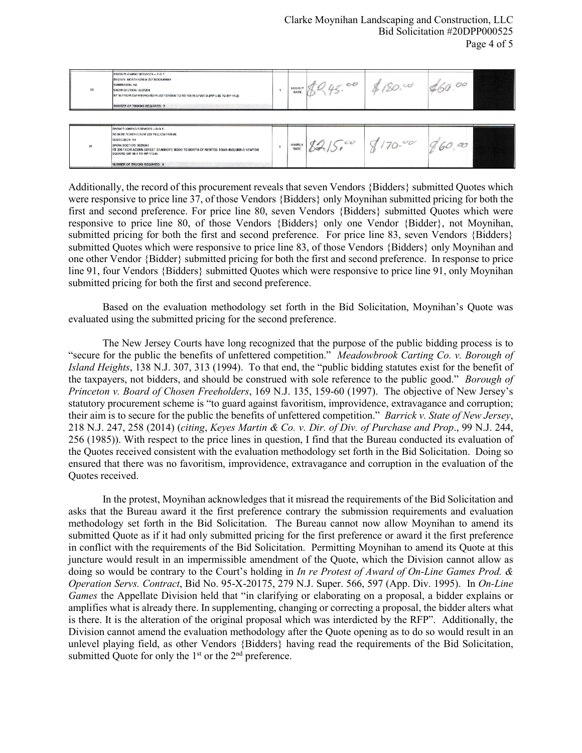| SNOW PLOWING SERVICES - D.O.T.<br>REGION: NORTH CREW 227 ROCKAWAY<br>SUBREGION: N2<br>83<br><b>SNOW SECTION: 5227264</b><br>RT 15 FROM ESPANONG RD IN JEFFERSON TO RT 181 IN SPARTA (MP 6.85 TO MP 14.2)<br>NUMBER OF TRUCKS REQUIRED: 7 |  | <b>HOURL</b><br>RATE<br>$\overline{\phantom{a}}$ | 0O |  | 00 |  |
|------------------------------------------------------------------------------------------------------------------------------------------------------------------------------------------------------------------------------------------|--|--------------------------------------------------|----|--|----|--|
|------------------------------------------------------------------------------------------------------------------------------------------------------------------------------------------------------------------------------------------|--|--------------------------------------------------|----|--|----|--|

| SNOW PLOWING SERVICES - D.O.T.<br>REGION: NORTH CREW 229 YELLOW FRAME<br>SUBREGION: N1<br><b>SNOW SECTION: 5229263</b><br>$\mathbf{a}$<br>RT 206 FROM ACORN STREET STANHOPE BORO TO NORTH OF NEWTON TOWN INCLUDING NEWTON<br>SQUARE (MP 98.4 TO MP 110.0)<br>NUMBER OF TRUCKS REQUIRED: 6 |  | <b>HOURLY</b><br><b>RATE</b> | ex | $\mathcal{O}$ | a<br>ØΨ |  |
|-------------------------------------------------------------------------------------------------------------------------------------------------------------------------------------------------------------------------------------------------------------------------------------------|--|------------------------------|----|---------------|---------|--|
|-------------------------------------------------------------------------------------------------------------------------------------------------------------------------------------------------------------------------------------------------------------------------------------------|--|------------------------------|----|---------------|---------|--|

Additionally, the record of this procurement reveals that seven Vendors {Bidders} submitted Quotes which were responsive to price line 37, of those Vendors {Bidders} only Moynihan submitted pricing for both the first and second preference. For price line 80, seven Vendors {Bidders} submitted Quotes which were responsive to price line 80, of those Vendors {Bidders} only one Vendor {Bidder}, not Moynihan, submitted pricing for both the first and second preference. For price line 83, seven Vendors {Bidders} submitted Quotes which were responsive to price line 83, of those Vendors {Bidders} only Moynihan and one other Vendor {Bidder} submitted pricing for both the first and second preference. In response to price line 91, four Vendors {Bidders} submitted Quotes which were responsive to price line 91, only Moynihan submitted pricing for both the first and second preference.

Based on the evaluation methodology set forth in the Bid Solicitation, Moynihan's Quote was evaluated using the submitted pricing for the second preference.

The New Jersey Courts have long recognized that the purpose of the public bidding process is to "secure for the public the benefits of unfettered competition." *Meadowbrook Carting Co. v. Borough of Island Heights*, 138 N.J. 307, 313 (1994). To that end, the "public bidding statutes exist for the benefit of the taxpayers, not bidders, and should be construed with sole reference to the public good." *Borough of Princeton v. Board of Chosen Freeholders*, 169 N.J. 135, 159-60 (1997). The objective of New Jersey's statutory procurement scheme is "to guard against favoritism, improvidence, extravagance and corruption; their aim is to secure for the public the benefits of unfettered competition." *Barrick v. State of New Jersey*, 218 N.J. 247, 258 (2014) (*citing*, *Keyes Martin & Co. v. Dir. of Div. of Purchase and Prop*., 99 N.J. 244, 256 (1985)). With respect to the price lines in question, I find that the Bureau conducted its evaluation of the Quotes received consistent with the evaluation methodology set forth in the Bid Solicitation. Doing so ensured that there was no favoritism, improvidence, extravagance and corruption in the evaluation of the Quotes received.

In the protest, Moynihan acknowledges that it misread the requirements of the Bid Solicitation and asks that the Bureau award it the first preference contrary the submission requirements and evaluation methodology set forth in the Bid Solicitation. The Bureau cannot now allow Moynihan to amend its submitted Quote as if it had only submitted pricing for the first preference or award it the first preference in conflict with the requirements of the Bid Solicitation. Permitting Moynihan to amend its Quote at this juncture would result in an impermissible amendment of the Quote, which the Division cannot allow as doing so would be contrary to the Court's holding in *In re Protest of Award of On-Line Games Prod. & Operation Servs. Contract*, Bid No. 95-X-20175, 279 N.J. Super. 566, 597 (App. Div. 1995). In *On-Line Games* the Appellate Division held that "in clarifying or elaborating on a proposal, a bidder explains or amplifies what is already there. In supplementing, changing or correcting a proposal, the bidder alters what is there. It is the alteration of the original proposal which was interdicted by the RFP". Additionally, the Division cannot amend the evaluation methodology after the Quote opening as to do so would result in an unlevel playing field, as other Vendors {Bidders} having read the requirements of the Bid Solicitation, submitted Quote for only the  $1<sup>st</sup>$  or the  $2<sup>nd</sup>$  preference.